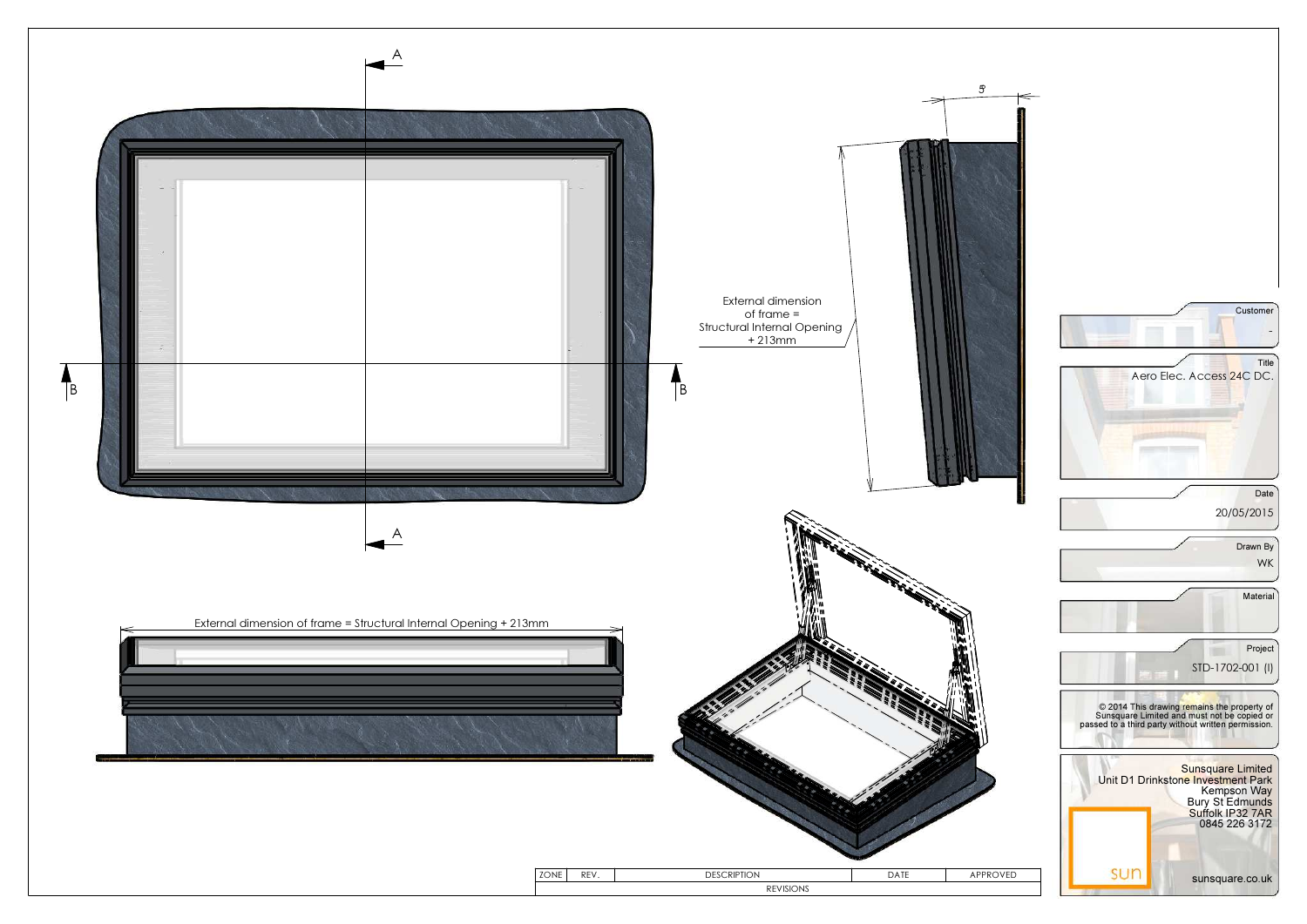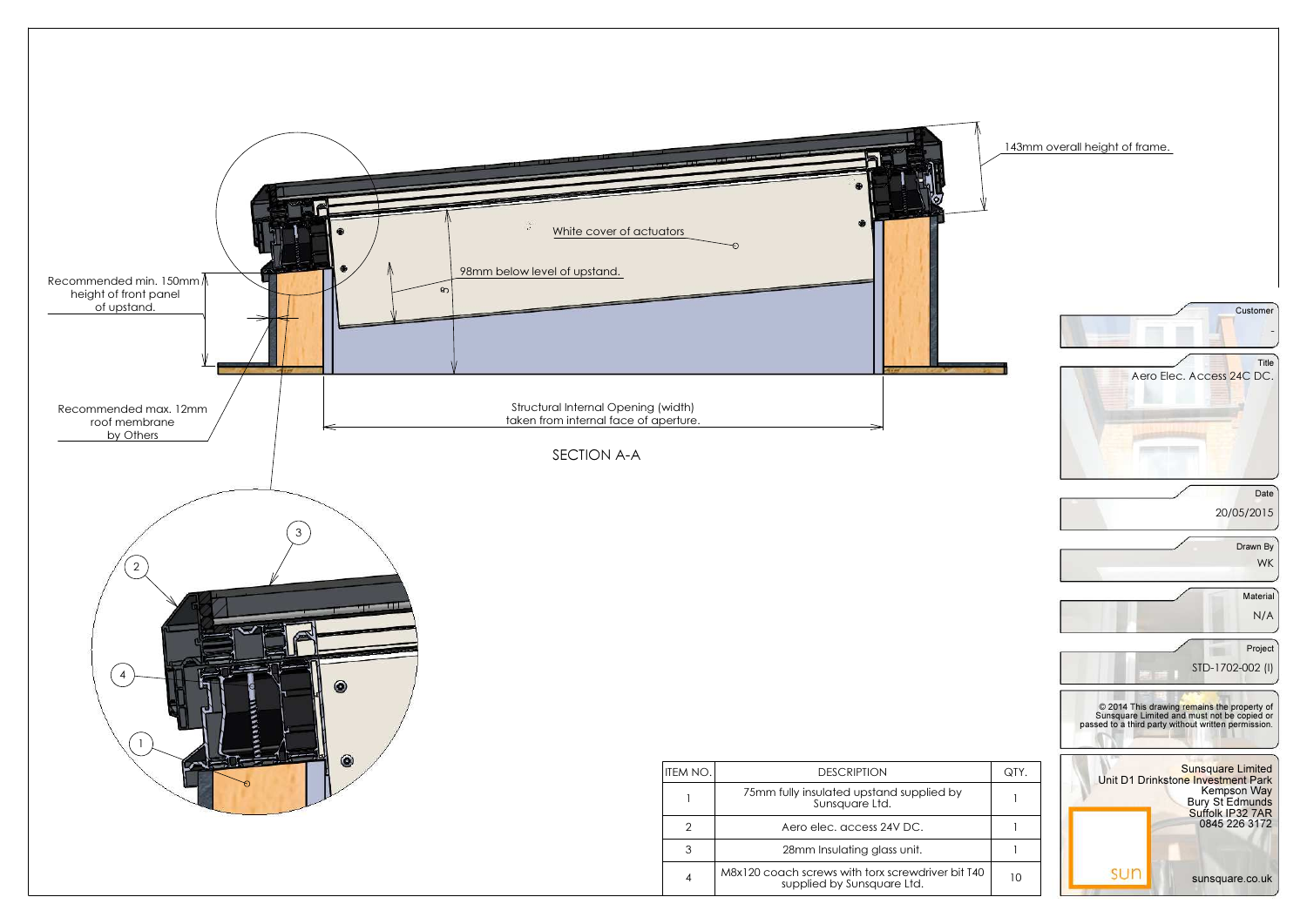

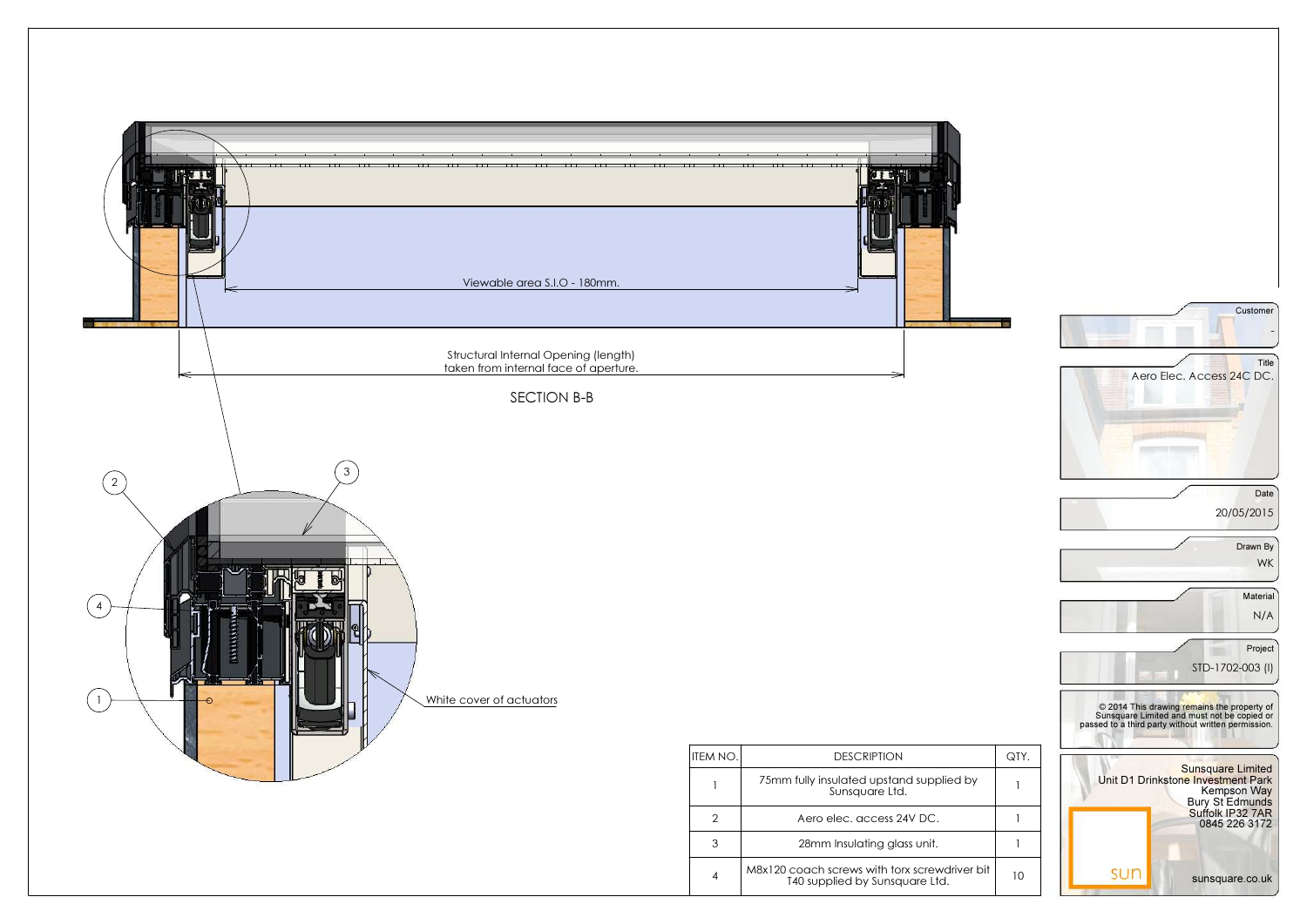

|   | QTY. |
|---|------|
|   | 1    |
|   | 1    |
|   |      |
| t | 10   |

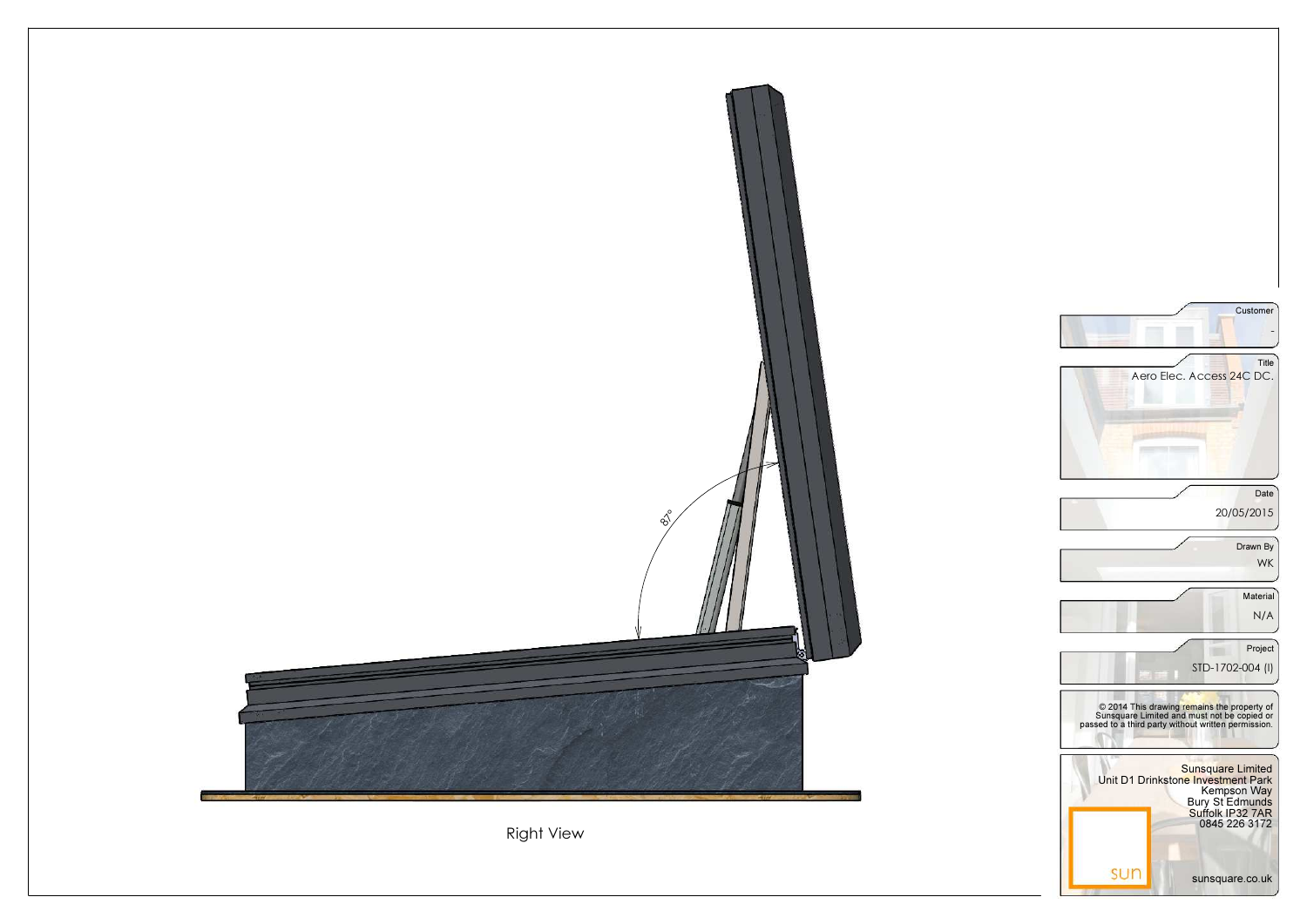